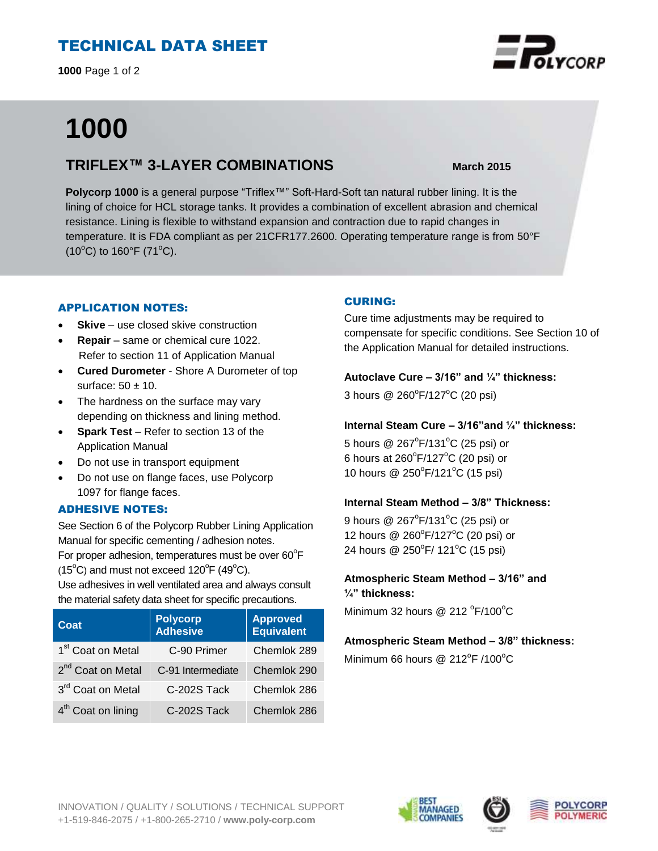# TECHNICAL DATA SHEET

**1000** Page 1 of 2

# **1000**

## **TRIFLEX™ 3-LAYER COMBINATIONS March 2015**

**Polycorp 1000** is a general purpose "Triflex™" Soft-Hard-Soft tan natural rubber lining. It is the lining of choice for HCL storage tanks. It provides a combination of excellent abrasion and chemical resistance. Lining is flexible to withstand expansion and contraction due to rapid changes in temperature. It is FDA compliant as per 21CFR177.2600. Operating temperature range is from 50°F  $(10^{\circ}C)$  to 160°F (71°C).

#### APPLICATION NOTES:

- **Skive** use closed skive construction
- **Repair**  same or chemical cure 1022. Refer to section 11 of Application Manual
- **Cured Durometer** Shore A Durometer of top surface:  $50 \pm 10$ .
- The hardness on the surface may vary depending on thickness and lining method.
- **Spark Test** Refer to section 13 of the Application Manual
- Do not use in transport equipment
- Do not use on flange faces, use Polycorp 1097 for flange faces.

#### ADHESIVE NOTES:

See Section 6 of the Polycorp Rubber Lining Application Manual for specific cementing / adhesion notes. For proper adhesion, temperatures must be over  $60^{\circ}$ F

 $(15^{\circ}C)$  and must not exceed  $120^{\circ}F(49^{\circ}C)$ .

Use adhesives in well ventilated area and always consult the material safety data sheet for specific precautions.

| Coat                           | <b>Polycorp</b><br><b>Adhesive</b> | <b>Approved</b><br><b>Equivalent</b> |
|--------------------------------|------------------------------------|--------------------------------------|
| 1 <sup>st</sup> Coat on Metal  | C-90 Primer                        | Chemlok 289                          |
| 2 <sup>nd</sup> Coat on Metal  | C-91 Intermediate                  | Chemlok 290                          |
| 3rd Coat on Metal              | C-202S Tack                        | Chemlok 286                          |
| 4 <sup>th</sup> Coat on lining | C-202S Tack                        | Chemlok 286                          |

## CURING:

Cure time adjustments may be required to compensate for specific conditions. See Section 10 of the Application Manual for detailed instructions.

#### **Autoclave Cure – 3/16" and ¼" thickness:**

3 hours @ 260°F/127°C (20 psi)

#### **Internal Steam Cure – 3/16"and ¼" thickness:**

5 hours  $@$  267 $^{\circ}$ F/131 $^{\circ}$ C (25 psi) or 6 hours at  $260^{\circ}$ F/127 $^{\circ}$ C (20 psi) or 10 hours @ 250°F/121°C (15 psi)

#### **Internal Steam Method – 3/8" Thickness:**

9 hours  $@$  267 $^{\circ}$ F/131 $^{\circ}$ C (25 psi) or 12 hours @ 260°F/127°C (20 psi) or 24 hours @ 250°F/ 121°C (15 psi)

## **Atmospheric Steam Method – 3/16" and ¼" thickness:**

Minimum 32 hours @ 212  $\mathrm{^oF}/100\mathrm{^oC}$ 

#### **Atmospheric Steam Method – 3/8" thickness:**

Minimum 66 hours @  $212^{\circ}$ F /100 $^{\circ}$ C